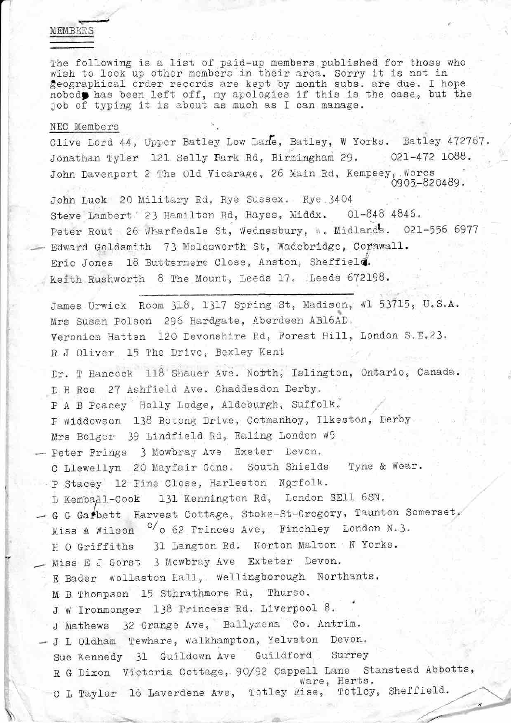## MEMBERS

The following is a list of paid-up members published for those who wish to look up other members in their area. Sorry it is not in geographical order records are kept by month subs. are due. I hope nobody has been left off, my apologies if this is the case, but the job of typing it is about as much as I can manage.

## NEC Members

Clive Lord 44, Upper Batley Low Lane, Batley, W Yorks. Batley 472767. Jonathan Tyler 121 Selly Park Rd, Birmingham 29.  $021 - 472$  1088. John Davenport 2 The Old Vicarage, 26 Main Rd, Kempsey, Worcs 0905-820489.

John Luck 20 Military Rd, Rye Sussex. Rye 3404 Steve Lambert 23 Hamilton Rd, Hayes, Middx. 01-848 4846. Peter Rout 26 Wharfedale St, Wednesbury, W. Midlands. 021-556 6977 Edward Goldsmith 73 Molesworth St, Wadebridge, Cornwall. Eric Jones 18 Buttermere Close, Anston, Sheffield. Keith Rushworth 8 The Mount, Leeds 17. Leeds 672198.

James Urwick Room 318, 1317 Spring St, Madison, W1 53715, U.S.A. Mrs Susan Polson 296 Hardgate, Aberdeen AB16AD. Veronica Hatten 120 Devonshire Rd, Forest Hill, London S.E.23. R J Oliver 15 The Drive, Bexley Kent

Dr. T Hancock 118 Shauer Ave. North, Islington, Ontario, Canada. D H Roe 27 Ashfield Ave. Chaddesdon Derby.

P A B Peacey Holly Lodge, Aldeburgh, Suffolk.

P Widdowson 138 Botong Drive, Cotmanhoy, Ilkeston, Derby.

Mrs Bolger 39 Lindfield Rd, Ealing London W5

- Peter Frings 3 Mowbray Ave Exeter Devon.

C Llewellyn 20 Mayfair Gdns. South Shields Tyne & Wear. P Stacey 12 Fine Close, Harleston Ngrfolk.

D Kemba<sub>d</sub>1-Cook 131 Kennington Rd, London SE11 6SN.

- G G Garbett Harvest Cottage, Stoke-St-Gregory, Taunton Somerset, Miss A Wilson <sup>C</sup>/o 62 Frinces Ave, Finchley London N.3. H O Griffiths 31 Langton Rd. Norton Malton N Yorks.
- Miss E J Gorst 3 Mowbray Ave Exteter Devon.
	- E Bader wollaston Hall, Wellingborough Northants.
	- M B Thompson 15 Sthrathmore Rd, Thurso.

J W Ironmonger 138 Princess Rd. Liverpool 8.

J Mathews 32 Grange Ave, Ballymena Co. Antrim.

- J L Oldham Tewhare, walkhampton, Yelveton Devon. Guildford Surrey Sue Kennedy 31 Guildown Ave R G Dixon Victoria Cottage, 90/92 Cappell Lane Stanstead Abbotts, ware, Herts. C L Taylor 16 Laverdene Ave, Totley Rise, Totley, Sheffield.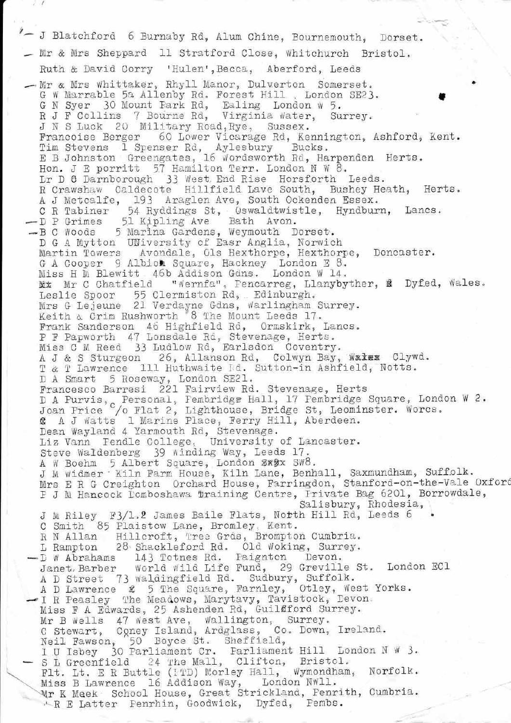"- J Blatchford 6 Burnaby Rd, Alum Chine, Bournemouth, Dorset. - Mr & Mrs Sheppard 11 Stratford Close, Whitchurch Bristol. Ruth & David Corry 'Hulen', Becca, Aberford, Leeds - Mr & Mrs Whittaker, Rhyll Manor, Dulverton Somerset. G W Marrable 5a Allenby Rd. Forest Hill . London SE23. G N Syer 30 Mount Park Rd, Ealing London W 5.<br>R J F Collins 7 Bourne Rd, Virginia Water, Surrey. J N S Luck 20 Military Road, Rye, Sussex. Francoise Berger 60 Lower Vicarage Rd, Kennington, Ashford, Kent. Tim Stevens 1 Spenser Rd, Aylesbury Bucks.<br>E B Johnston Greengates, 16 Wordsworth Rd, Harpenden Herts.<br>Hon. J E porritt 57 Hamilton Terr. London N W 8.<br>Dr D C Darnborough 33 West End Rise Horsforth Leeds. R Crawshaw Caldecote Hillfield Lave South, Bushey Heath, Herts. A J Metcalfe, 193 Araglen Ave, South Ockenden Essex.<br>
C R Tabiner 54 Ryddings St, Oswaldtwistle, Hyndburn, Lancs.<br>
- D P Grimes 51 Kipling Ave Bath Avon.<br>
- B C Woods 5 Marina Gardens, Weymouth Dorset. D G A Mytton UNiversity of Easr Anglia, Norwich Martin Towers Avondale, Ols Hexthorpe, Hexthorpe, Doncaster. G A Cooper 9 Albion Square, Hackney London E 8.<br>Miss H M Blewitt 46b Addison Gdns. London W 14. Mx Mr C Chatfield "Wernfa", Fencarreg, Llanybyther, & Dyfed, Wales. Leslie Spoor 55 Clermiston Rd, Edinburgh. Mrs G Lejeune 21 Verdayne Gdns, Warlingham Surrey.<br>Keith & Crim Rushworth 8 The Mount Leeds 17. Frank Sanderson 46 Highfield Rd, Ormskirk, Lancs. P F Papworth 47 Lonsdale Rd, Stevenage, Herts.<br>Miss C M Reed 33 Ludlow Rd, Earlsdon Coventry. A J & S Sturgeon 26, Allanson Rd, Colwyn Bay, Walex Clywd. T & T Lawrence 111 Huthwaite Md. Sutton-in Ashfield, Notts. D A Smart 5 Roseway, London SE21. Francesco Barresi 221 Fairview Rd. Stevenage, Herts D A Purvis, Personal, Fembridge Hall, 17 Pembridge Square, London W 2.<br>Joan Price / Plat 2, Lighthouse, Bridge St, Leominster. Worcs.<br>& A J Watts 1 Marine Place, Ferry Hill, Aberdeen. Dean Wayland 4 Yarmouth Rd, Stevenage. Liz Vann Pendle College, University of Lancaster. Steve Waldenberg 39 winding Way, Leeds 17. A W Boehm 5 Albert Square, London Sx9x SW8. J M widmer Kiln Farm House, Kiln Lane, Benhall, Saxmundham, Suffolk. Mrs E R G Creighton Orchard House, Farringdon, Stanford-on-the-Vale Oxford F J M Hancock Domboshawa Training Centre, Frivate Bag 6201, Borrowdale, Salisbury, Rhodesia, J M Riley F3/1.2 James Baile Flats, North Hill Rd, Leeds 6 C Smith 85 Plaistow Lane, Bromley, Kent. R N Allan Hillcroft, Tree Grds, Brompton Cumbria. L Rampton 28 Shackleford Rd. 01d Woking, Surrey.<br>-D W Abrahams 143 Totnes Rd. Paignton Devon.<br>Janet Barber World Wild Life Fund, 29 Greville St. London ECl A D Street 73 waldingfield Rd. Sudbury, Suffolk.<br>A D Lawrence & 5 The Square, Farnley, Otley, West Yorks. I R Peasley The Meadows, Marytavy, Tavistock, Devon. Miss F A Edwards, 25 Ashenden Rd, Guilfford Surrey. Mr B wells 47 west Ave, wallington, Surrey.<br>
C Stewart, Coney Island, Ardglass, Co. Down, Ireland.<br>
Neil Fawson, 50 Boyce St. Sheffield,<br>
I U Isbey 30 Parliament Cr. Farliament Hill London N W 3. S L Greenfield 24 The Mall, Clifton, Bristol.<br>Flt. Lt. E R Buttle (1TD) Morley Hall, Wymondham, Norfolk. Miss B Lawrence 16 Addison Way, London NW11.<br>Wr K Meek School House, Great Strickland, Penrith, Cumbria. R E Latter Fenrhin, Goodwick, Dyfed, Pembs.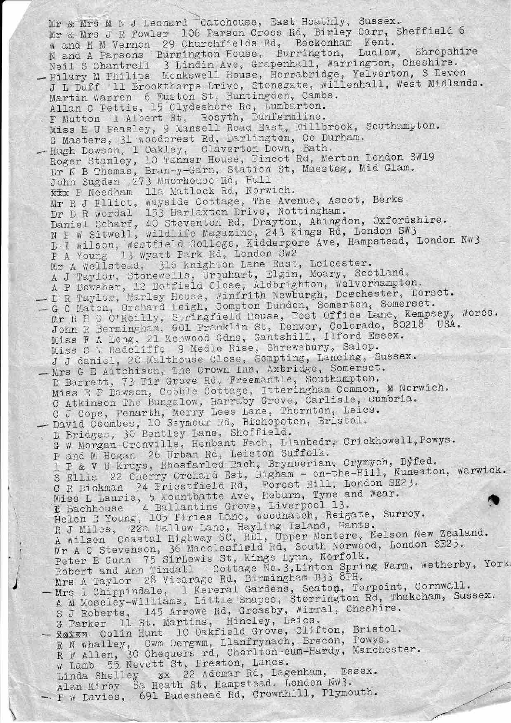Mr & Mrs M N J Leonard Gatehouse, East Hoathly, Sussex. Mr & Mrs J R Fowler 106 Farson Cross Rd, Birley Carr, Sheffield 6 w and H M Vernon 29 Churchfields Rd, Beckenham Kent. N and A Parsons Burrington House, Burrington, Ludlow, Shropshire Neil S Chantrell 3 Lindin Ave, Grapenhall, Warrington, Cheshire. - Hilary M Philips Monkswell House, Horrabridge, Yelverton, S Devon J L Duff 11 Brookthorpe Lrive, Stonegate, willenhall, West Midlands. Martin warren 6 Euston St, Huntingdon, Cambs. Allan C Fettie, 15 Clydeshore Rd, Lumbarton. I Mutton 1 Albert St, Rosyth, Dunfermline. Miss H U Peasley, 9 Mansell Road East, Millbrook, Southampton. G Masters, 31 woodcrest Rd, Darlington, Co Durham. - Hugh Dowson, 1 Oakley, Claverton Lown, Bath.<br>Roger Stanley, 10 Tanner House, Fincot Rd, Merton London SW19 Dr N B Thomas, Bran-y-Garn, Station St, Maesteg, Mid Glam. John Sugden 273 Moorhouse Rd, Hull XXX I Needham 11a Matlock Rd, Norwich. Mr R J Elliot, Wayside Cottage, The Avenue, Ascot, Berks<br>Dr D R wordal 153 Harlaxton Drive, Nottingham.<br>Daniel Scharf, 40 Steventon Rd, Drayton, Abingdon, Oxfordshire. N P W Sitwell, wildlife Magazine, 243 Kings Rd, London SW3 L I wilson, Westfield College, Kidderpore Ave, Hampstead, London NW3<br>F A Young 13 Wyatt Park Rd, London SW2 Mr A Wellstead, 315 Knighton Lane East, Leicester. A J Taylor, Stonewells, Urquhart, Elgin, Moary, Scotland.<br>A P Bowsher, 12 Botfield Close, Aldbrighton, Wolverhampton.<br>- D R Taylor, Marley House, Winfrith Newburgh, Dorchester, Dorset.<br>- G C Maton, Orchard Leigh, Compton D Mr R H G O'Reilly, Springfield House, Fost Office Lane, Kempsey, Words.<br>John R Bermingham, 601 Franklin St, Denver, Colorado, 80218 USA.<br>Miss F A Long, 21 Kenwood Gdns, Gantshill, Ilford Essex. Miss C M Radcliffs 9 Medle Rise, Shrewsbury, Salop. J J daniel, 20 Malthouse Close, Sompting, Lancing, Sussex. - Mrs G E Aitchison, The Crown Inn, Axbridge, Somerset.<br>D Barrett, 73 Fir Grove Rd, Freemantle, Southampton. Miss E P Dawson, Cobble Cottage, Itteringham Common, M Norwich.<br>C Atkinson The Bungalow, Harraby Grove, Carlisle, Cumbria. C J Cope, Penarth, Merry Lees Lane, Thornton, Leics. - David Coombes, 10 Seymour Rd, Bishopston, Bristol.<br>D Bridges, 30 Bentley Lane, Sheffield.<br>G w Morgan-Grenville, Henbant Fach, Llanbedr, Crickhowell, Powys. P and M Hogan 26 Urban Rd, Leiston Suffolk. I F & V U Kruys, Rhosfarled Rach, Brynberian, Crymych, Dyfed. S Ellis 22 Cherry Orchard Est, Higham - on-the-Hill, Nuneaton, Warwick. C R Dickman 24 Priestfield Rd, Forest Hill, London SE23.<br>Miss L Laurie, 5 Mountbatte Ave, Heburn, Tyne and Wear.<br>1 Bachhouse 4 Ballantine Grove, Liverpool 13. Helen E Young, 105 Piries Lane, woodhatch, Reigate, Surrey. R J Miles, 22a Hallow Lane, Hayling Island, Hants. A wilson Coastal Highway 60, RD1, Upper Montere, Nelson New Zealand. Mr A C Stevenson, 36 Macclesfield Rd, South Norwood, London SE25.<br>Peter B Gunn 75 SirLewis St, kings Lynn, Norfolk. Robert and Ann Tindall Cottage No. 3, Linton Spring Farm, wetherby, York Mrs A Taylor 28 Vicarage Rd, Birmingham B33 8PH. - Mrs I Chippindale, 1 Kereral Gardens, Seaton, Torpoint, Cornwall. A M Moseley-Williams, Little Snapes, Storrington Rd, Thakeham, Sussex. S J Roberts, 145 Arrowe Rd, Greasby, Wirral, Cheshire. G Parker 11 St. Martins, Hincley, Leics. - Cuin Hunt 10 Oakfield Grove, Clifton, Bristol. R N whalley, Cwm Oergwm, Llanfrynach, Brecon, Powys. R F Allen, 30 Chequers rd, Chorlton-cum-Hardy, Manchester. w Lamb 55 Nevett St, Preston, Lancs. Linda Shelley xx 22 Adomar Rd, Lagenham, Essex. Alan Kirby 8a Heath St, Hampstead. London Nw3. - P w Davies, 691 Budeshead Rd, Crownhill, Plymouth.